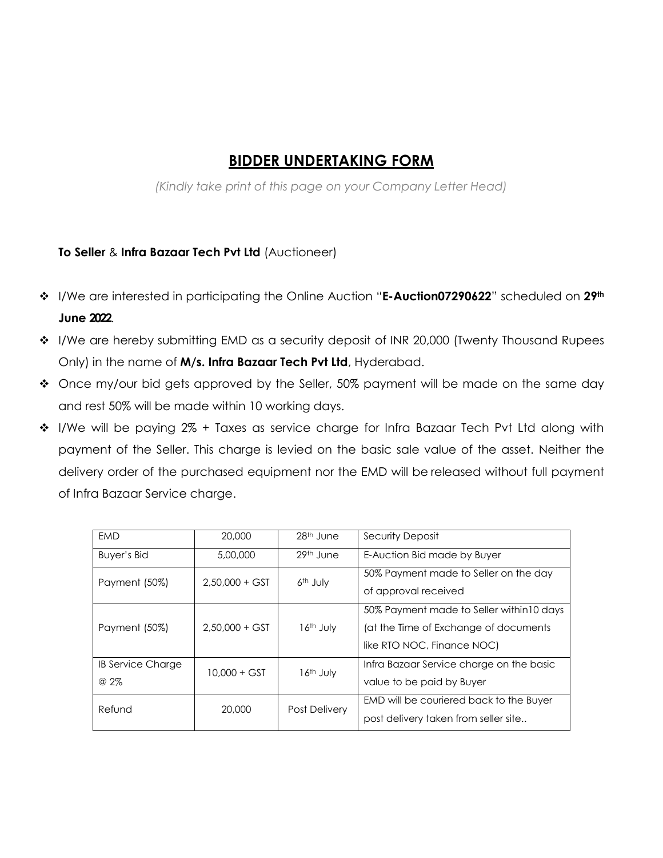## **BIDDER UNDERTAKING FORM**

*(Kindly take print of this page on your Company Letter Head)*

## **To Seller** & **Infra Bazaar Tech Pvt Ltd** (Auctioneer)

- I/We are interested in participating the Online Auction "**E-Auction07290622**" scheduled on **29th June 2022**.
- I/We are hereby submitting EMD as a security deposit of INR 20,000 (Twenty Thousand Rupees Only) in the name of **M/s. Infra Bazaar Tech Pvt Ltd**, Hyderabad.
- Once my/our bid gets approved by the Seller, 50% payment will be made on the same day and rest 50% will be made within 10 working days.
- I/We will be paying 2% + Taxes as service charge for Infra Bazaar Tech Pvt Ltd along with payment of the Seller. This charge is levied on the basic sale value of the asset. Neither the delivery order of the purchased equipment nor the EMD will be released without full payment of Infra Bazaar Service charge.

| EMD                             | 20,000           | $28th$ June          | Security Deposit                                                                                                 |
|---------------------------------|------------------|----------------------|------------------------------------------------------------------------------------------------------------------|
| Buyer's Bid                     | 5,00,000         | 29th June            | E-Auction Bid made by Buyer                                                                                      |
| Payment (50%)                   | $2.50.000 + GST$ | 6 <sup>th</sup> July | 50% Payment made to Seller on the day<br>of approval received                                                    |
| Payment (50%)                   | $2,50,000 + GST$ | $16th$ July          | 50% Payment made to Seller within 10 days<br>(at the Time of Exchange of documents<br>like RTO NOC, Finance NOC) |
| <b>IB Service Charge</b><br>@2% | $10,000 + GST$   | $16th$ July          | Infra Bazaar Service charge on the basic<br>value to be paid by Buyer                                            |
| Refund                          | 20,000           | <b>Post Delivery</b> | EMD will be couriered back to the Buyer<br>post delivery taken from seller site                                  |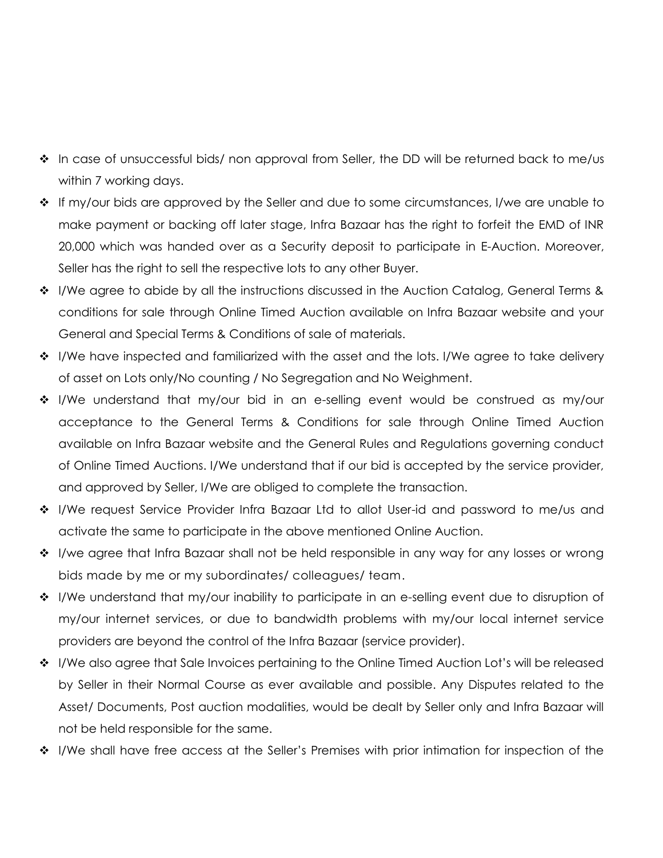- $\cdot \cdot$  In case of unsuccessful bids/ non approval from Seller, the DD will be returned back to me/us within 7 working days.
- $\cdot \cdot$  If my/our bids are approved by the Seller and due to some circumstances, I/we are unable to make payment or backing off later stage, Infra Bazaar has the right to forfeit the EMD of INR 20,000 which was handed over as a Security deposit to participate in E-Auction. Moreover, Seller has the right to sell the respective lots to any other Buyer.
- $\clubsuit$  I/We agree to abide by all the instructions discussed in the Auction Catalog, General Terms & conditions for sale through Online Timed Auction available on Infra Bazaar website and your General and Special Terms & Conditions of sale of materials.
- $\cdot \cdot$  I/We have inspected and familiarized with the asset and the lots. I/We agree to take delivery of asset on Lots only/No counting / No Segregation and No Weighment.
- I/We understand that my/our bid in an e-selling event would be construed as my/our acceptance to the General Terms & Conditions for sale through Online Timed Auction available on Infra Bazaar website and the General Rules and Regulations governing conduct of Online Timed Auctions. I/We understand that if our bid is accepted by the service provider, and approved by Seller, I/We are obliged to complete the transaction.
- I/We request Service Provider Infra Bazaar Ltd to allot User-id and password to me/us and activate the same to participate in the above mentioned Online Auction.
- I/we agree that Infra Bazaar shall not be held responsible in any way for any losses or wrong bids made by me or my subordinates/ colleagues/ team.
- ◆ I/We understand that my/our inability to participate in an e-selling event due to disruption of my/our internet services, or due to bandwidth problems with my/our local internet service providers are beyond the control of the Infra Bazaar (service provider).
- $\cdot \cdot$  I/We also agree that Sale Invoices pertaining to the Online Timed Auction Lot's will be released by Seller in their Normal Course as ever available and possible. Any Disputes related to the Asset/ Documents, Post auction modalities, would be dealt by Seller only and Infra Bazaar will not be held responsible for the same.
- I/We shall have free access at the Seller's Premises with prior intimation for inspection of the